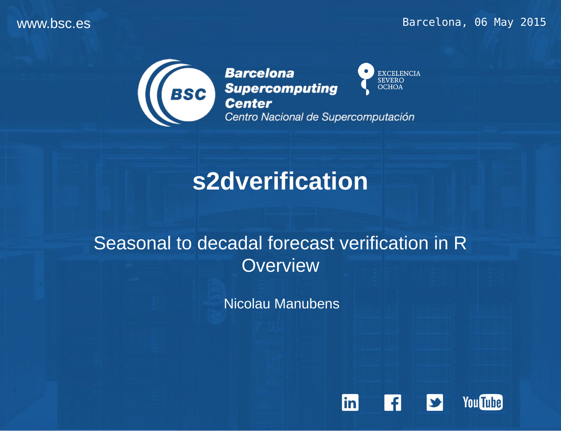#### www.bsc.es extending the extending of the extending of the Barcelona, 06 May 2015



**Barcelona** EXCELENCIA<br>SEVERO **BSC** Supercomputing **OCHOA** Centro Nacional de Supercomputación

# **s2dverification**

### Seasonal to decadal forecast verification in R **Overview**

Nicolau Manubens

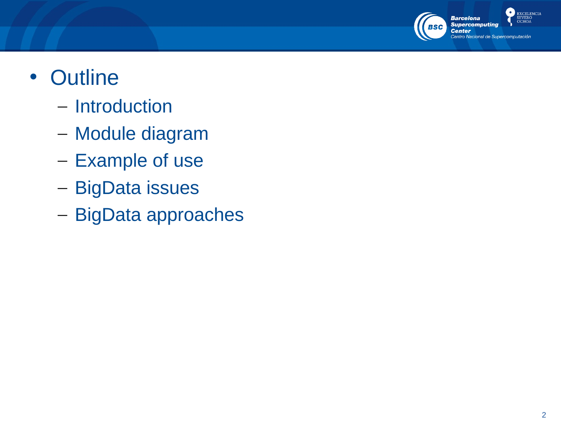

## • Outline

- Introduction
- Module diagram
- Example of use
- BigData issues
- BigData approaches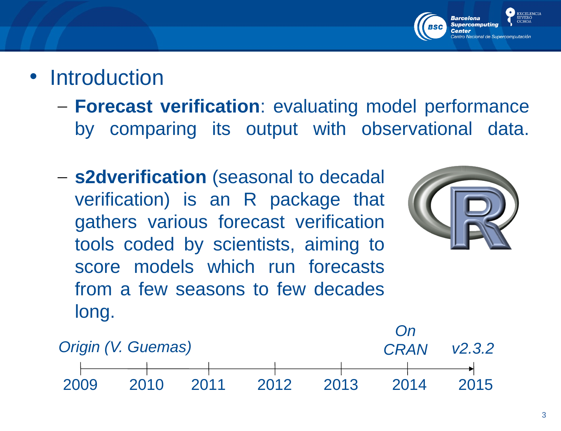

- **Introduction** 
	- **Forecast verification**: evaluating model performance by comparing its output with observational data.
	- **s2dverification** (seasonal to decadal verification) is an R package that gathers various forecast verification tools coded by scientists, aiming to score models which run forecasts from a few seasons to few decades long.



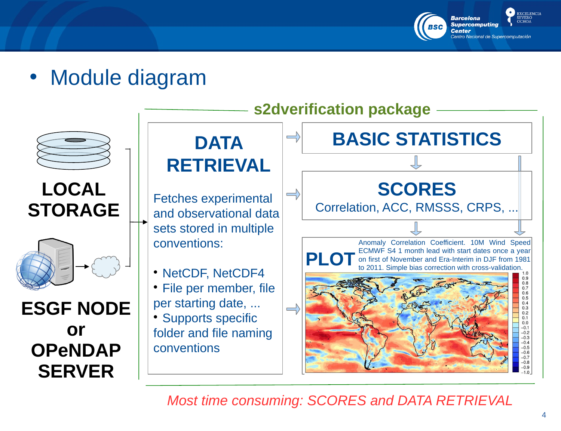

• Module diagram



**LOCAL STORAGE**



**ESGF NODE or OPeNDAP SERVER**



*Most time consuming: SCORES and DATA RETRIEVAL*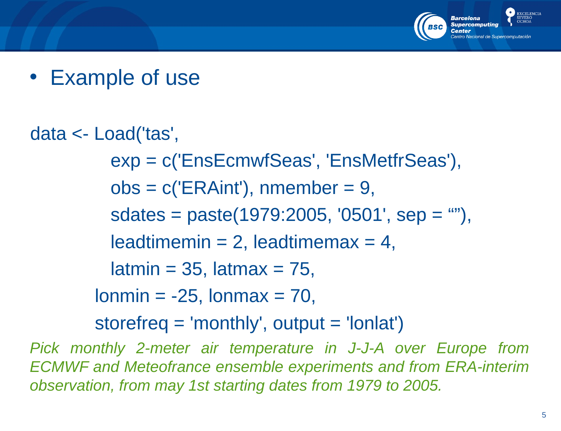

• Example of use

data <- Load('tas', exp = c('EnsEcmwfSeas', 'EnsMetfrSeas'),  $obs = c(′ERAint′)$ , nmember = 9,  $sdates = paste(1979:2005, '0501', sep = ''''),$ leadtimemin = 2, leadtimemax = 4,  $l$  latmin = 35, latmax = 75,  $l$ onmin =  $-25$ ,  $l$ onmax = 70, storefreq  $=$  'monthly', output  $=$  'lonlat')

*Pick monthly 2-meter air temperature in J-J-A over Europe from ECMWF and Meteofrance ensemble experiments and from ERA-interim observation, from may 1st starting dates from 1979 to 2005.*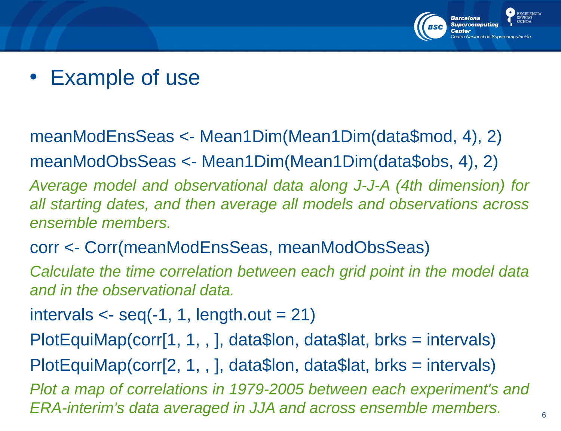

• Example of use

### meanModEnsSeas <- Mean1Dim(Mean1Dim(data\$mod, 4), 2) meanModObsSeas <- Mean1Dim(Mean1Dim(data\$obs, 4), 2)

*Average model and observational data along J-J-A (4th dimension) for all starting dates, and then average all models and observations across ensemble members.*

#### corr <- Corr(meanModEnsSeas, meanModObsSeas)

*Calculate the time correlation between each grid point in the model data and in the observational data.*

intervals  $\leq$  seq(-1, 1, length.out = 21)

PlotEquiMap(corr[1, 1, , ], data\$lon, data\$lat, brks = intervals)

PlotEquiMap(corr[2, 1, , ], data\$lon, data\$lat, brks = intervals)

*Plot a map of correlations in 1979-2005 between each experiment's and ERA-interim's data averaged in JJA and across ensemble members.*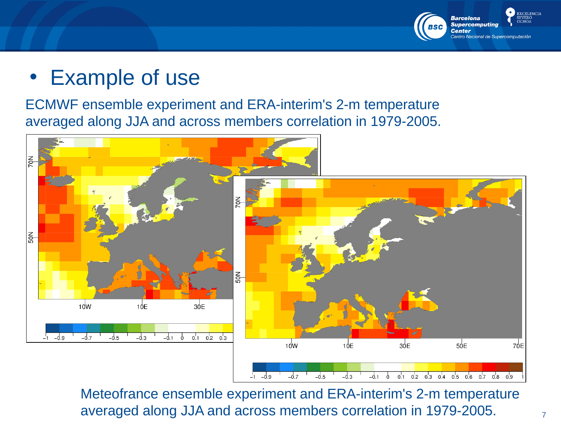

## • Example of use

ECMWF ensemble experiment and ERA-interim's 2-m temperature averaged along JJA and across members correlation in 1979-2005.



Meteofrance ensemble experiment and ERA-interim's 2-m temperature averaged along JJA and across members correlation in 1979-2005.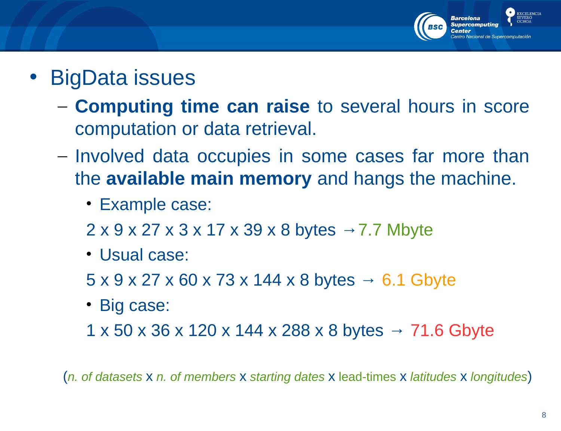

- BigData issues
	- **Computing time can raise** to several hours in score computation or data retrieval.
	- Involved data occupies in some cases far more than the **available main memory** and hangs the machine.
		- Example case:
		- $2 \times 9 \times 27 \times 3 \times 17 \times 39 \times 8$  bytes  $\rightarrow$  7.7 Mbyte
		- Usual case:
		- $5 \times 9 \times 27 \times 60 \times 73 \times 144 \times 8$  bytes  $\rightarrow 6.1$  Gbyte
		- Big case:
		- $1 \times 50 \times 36 \times 120 \times 144 \times 288 \times 8$  bytes  $\rightarrow 71.6$  Gbyte

(*n. of datasets* x *n. of members* x *starting dates* x lead-times x *latitudes* x *longitudes*)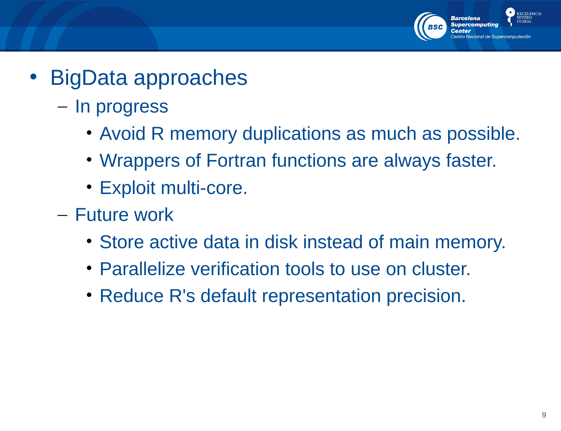

- BigData approaches
	- In progress
		- Avoid R memory duplications as much as possible.
		- Wrappers of Fortran functions are always faster.
		- Exploit multi-core.
	- Future work
		- Store active data in disk instead of main memory.
		- Parallelize verification tools to use on cluster.
		- Reduce R's default representation precision.